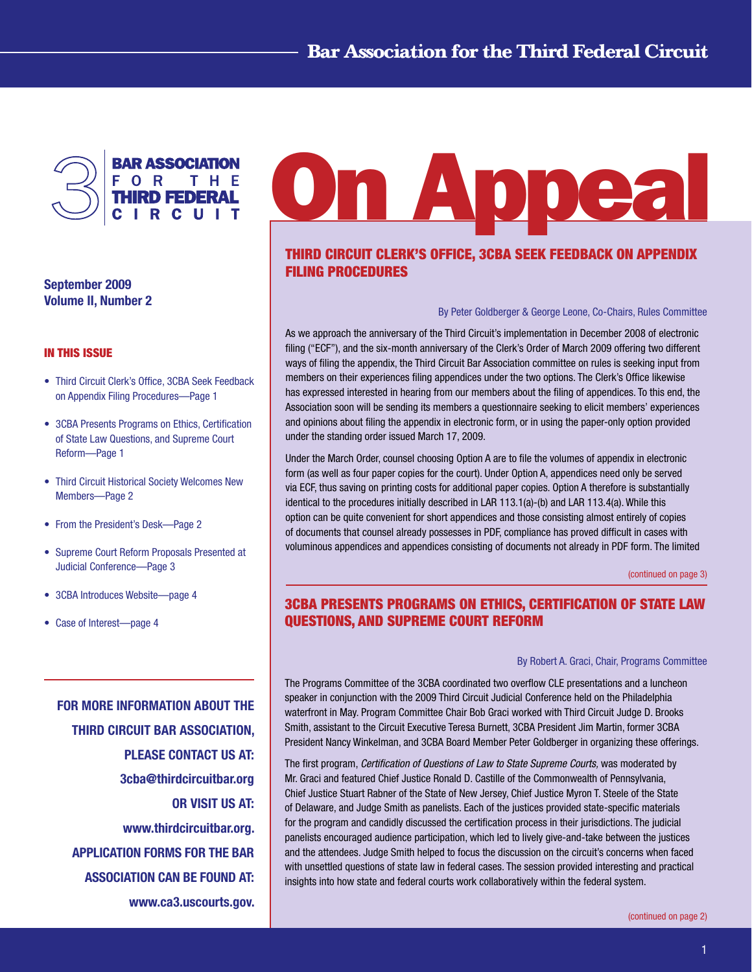<span id="page-0-0"></span>

September 2009 Volume II, Number 2

## In This Issue

- Third Circuit Clerk's Office, 3CBA Seek Feedback on Appendix Filing Procedures—Page 1
- 3CBA Presents Programs on Ethics, Certification of State Law Questions, and Supreme Court Reform—Page 1
- Third Circuit Historical Society Welcomes New Members—Page 2
- From the President's Desk—Page 2
- Supreme Court Reform Proposals Presented at Judicial Conference—Page 3
- 3CBA Introduces Website—page 4
- Case of Interest—page 4

FOR MORE INFORMATION ABOUT THE THIRD CIRCUIT BAR ASSOCIATION, PLEASE CONTACT US AT: 3cba@thirdcircuitbar.org OR VISIT US AT: www.thirdcircuitbar.org. APPLICATION FORMS FOR THE BAR ASSOCIATION CAN BE FOUND AT: www.ca3.uscourts.gov.

# **On Appea**

# Third Circuit Clerk's Office, 3CBA seek feedback on appendix filing procedures

By Peter Goldberger & George Leone, Co-Chairs, Rules Committee

As we approach the anniversary of the Third Circuit's implementation in December 2008 of electronic filing ("ECF"), and the six-month anniversary of the Clerk's Order of March 2009 offering two different ways of filing the appendix, the Third Circuit Bar Association committee on rules is seeking input from members on their experiences filing appendices under the two options. The Clerk's Office likewise has expressed interested in hearing from our members about the filing of appendices. To this end, the Association soon will be sending its members a questionnaire seeking to elicit members' experiences and opinions about filing the appendix in electronic form, or in using the paper-only option provided under the standing order issued March 17, 2009.

Under the March Order, counsel choosing Option A are to file the volumes of appendix in electronic form (as well as four paper copies for the court). Under Option A, appendices need only be served via ECF, thus saving on printing costs for additional paper copies. Option A therefore is substantially identical to the procedures initially described in LAR 113.1(a)-(b) and LAR 113.4(a). While this option can be quite convenient for short appendices and those consisting almost entirely of copies of documents that counsel already possesses in PDF, compliance has proved difficult in cases with voluminous appendices and appendices consisting of documents not already in PDF form. The limited

[\(continued on page 3\)](#page-2-0)

# 3CBA Presents Programs on Ethics, Certification of State Law Questions, and Supreme Court Reform

#### By Robert A. Graci, Chair, Programs Committee

The Programs Committee of the 3CBA coordinated two overflow CLE presentations and a luncheon speaker in conjunction with the 2009 Third Circuit Judicial Conference held on the Philadelphia waterfront in May. Program Committee Chair Bob Graci worked with Third Circuit Judge D. Brooks Smith, assistant to the Circuit Executive Teresa Burnett, 3CBA President Jim Martin, former 3CBA President Nancy Winkelman, and 3CBA Board Member Peter Goldberger in organizing these offerings.

The first program, *Certification of Questions of Law to State Supreme Courts,* was moderated by Mr. Graci and featured Chief Justice Ronald D. Castille of the Commonwealth of Pennsylvania, Chief Justice Stuart Rabner of the State of New Jersey, Chief Justice Myron T. Steele of the State of Delaware, and Judge Smith as panelists. Each of the justices provided state-specific materials for the program and candidly discussed the certification process in their jurisdictions. The judicial panelists encouraged audience participation, which led to lively give-and-take between the justices and the attendees. Judge Smith helped to focus the discussion on the circuit's concerns when faced with unsettled questions of state law in federal cases. The session provided interesting and practical insights into how state and federal courts work collaboratively within the federal system.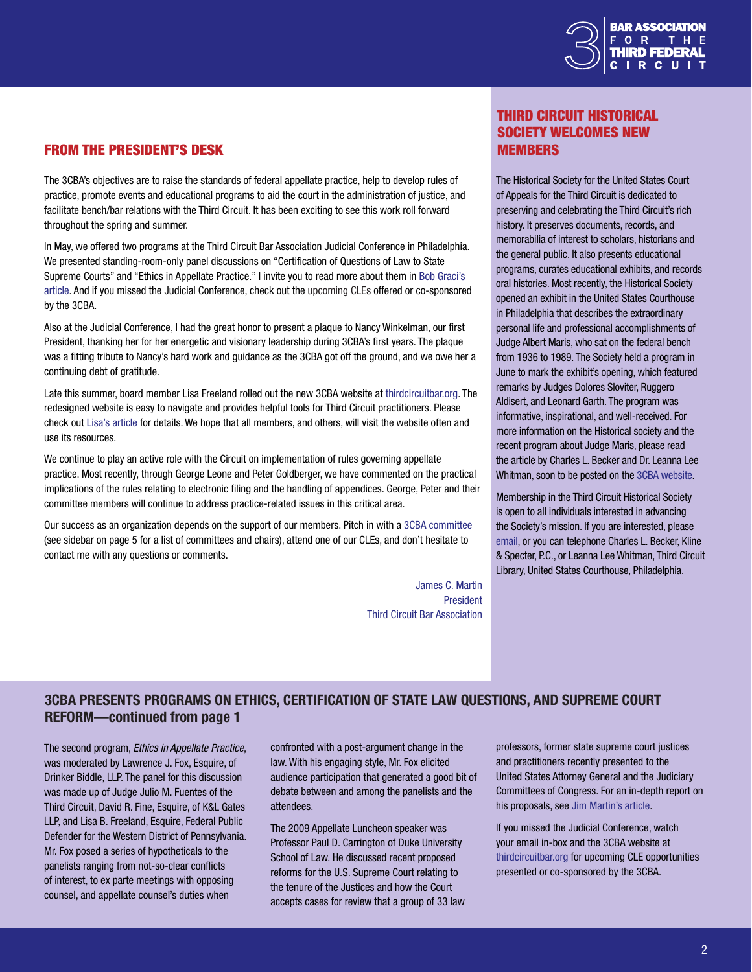

# <span id="page-1-0"></span>From the President's Desk

The 3CBA's objectives are to raise the standards of federal appellate practice, help to develop rules of practice, promote events and educational programs to aid the court in the administration of justice, and facilitate bench/bar relations with the Third Circuit. It has been exciting to see this work roll forward throughout the spring and summer.

In May, we offered two programs at the Third Circuit Bar Association Judicial Conference in Philadelphia. We presented standing-room-only panel discussions on "Certification of Questions of Law to State Supreme Courts" and "Ethics in Appellate Practice." I invite you to read more about them in [Bob Graci's](#page-0-0)  [article](#page-0-0). And if you missed the Judicial Conference, check out the upcoming CLEs offered or co-sponsored by the 3CBA.

Also at the Judicial Conference, I had the great honor to present a plaque to Nancy Winkelman, our first President, thanking her for her energetic and visionary leadership during 3CBA's first years. The plaque was a fitting tribute to Nancy's hard work and guidance as the 3CBA got off the ground, and we owe her a continuing debt of gratitude.

Late this summer, board member Lisa Freeland rolled out the new 3CBA website at [thirdcircuitbar.org.](http://www.thirdcircuitbar.org/) The redesigned website is easy to navigate and provides helpful tools for Third Circuit practitioners. Please check out [Lisa's article](#page-3-0) for details. We hope that all members, and others, will visit the website often and use its resources.

We continue to play an active role with the Circuit on implementation of rules governing appellate practice. Most recently, through George Leone and Peter Goldberger, we have commented on the practical implications of the rules relating to electronic filing and the handling of appendices. George, Peter and their committee members will continue to address practice-related issues in this critical area.

Our success as an organization depends on the support of our members. Pitch in with a [3CBA committee](#page-4-0) (see sidebar on page 5 for a list of committees and chairs), attend one of our CLEs, and don't hesitate to contact me with any questions or comments.

> James C. Martin President Third Circuit Bar Association

# **THIRD CIRCUIT HISTORICAL** Society welcomes new **MEMBERS**

The Historical Society for the United States Court of Appeals for the Third Circuit is dedicated to preserving and celebrating the Third Circuit's rich history. It preserves documents, records, and memorabilia of interest to scholars, historians and the general public. It also presents educational programs, curates educational exhibits, and records oral histories. Most recently, the Historical Society opened an exhibit in the United States Courthouse in Philadelphia that describes the extraordinary personal life and professional accomplishments of Judge Albert Maris, who sat on the federal bench from 1936 to 1989. The Society held a program in June to mark the exhibit's opening, which featured remarks by Judges Dolores Sloviter, Ruggero Aldisert, and Leonard Garth. The program was informative, inspirational, and well-received. For more information on the Historical society and the recent program about Judge Maris, please read the article by Charles L. Becker and Dr. Leanna Lee Whitman, soon to be posted on the [3CBA website.](http://www.thirdcircuitbar.org/third_circuit_historical_society.html)

Membership in the Third Circuit Historical Society is open to all individuals interested in advancing the Society's mission. If you are interested, please [email,](mailto: Third_Circuit_ Historical_Society@ca3.uscourts.gov) or you can telephone Charles L. Becker, Kline & Specter, P.C., or Leanna Lee Whitman, Third Circuit Library, United States Courthouse, Philadelphia.

# 3CBA Presents Programs on Ethics, Certification of State Law Questions, and Supreme Court REFORM-continued from page 1

The second program, *Ethics in Appellate Practice*, was moderated by Lawrence J. Fox, Esquire, of Drinker Biddle, LLP. The panel for this discussion was made up of Judge Julio M. Fuentes of the Third Circuit, David R. Fine, Esquire, of K&L Gates LLP, and Lisa B. Freeland, Esquire, Federal Public Defender for the Western District of Pennsylvania. Mr. Fox posed a series of hypotheticals to the panelists ranging from not-so-clear conflicts of interest, to ex parte meetings with opposing counsel, and appellate counsel's duties when

confronted with a post-argument change in the law. With his engaging style, Mr. Fox elicited audience participation that generated a good bit of debate between and among the panelists and the attendees.

The 2009 Appellate Luncheon speaker was Professor Paul D. Carrington of Duke University School of Law. He discussed recent proposed reforms for the U.S. Supreme Court relating to the tenure of the Justices and how the Court accepts cases for review that a group of 33 law professors, former state supreme court justices and practitioners recently presented to the United States Attorney General and the Judiciary Committees of Congress. For an in-depth report on his proposals, see [Jim Martin's article](#page-2-0).

If you missed the Judicial Conference, watch your email in-box and the 3CBA website at [thirdcircuitbar.org](http://www.thirdcircuitbar.org/index.html) for upcoming CLE opportunities presented or co-sponsored by the 3CBA.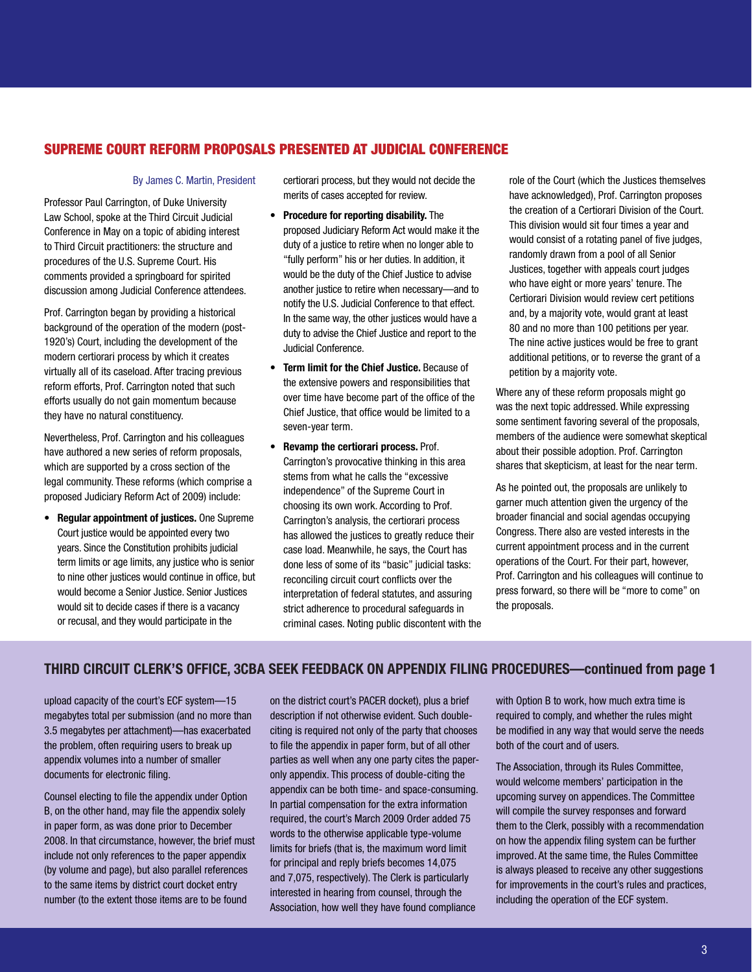# <span id="page-2-0"></span>Supreme Court reform proposals presented at Judicial Conference

#### By James C. Martin, President

Professor Paul Carrington, of Duke University Law School, spoke at the Third Circuit Judicial Conference in May on a topic of abiding interest to Third Circuit practitioners: the structure and procedures of the U.S. Supreme Court. His comments provided a springboard for spirited discussion among Judicial Conference attendees.

Prof. Carrington began by providing a historical background of the operation of the modern (post-1920's) Court, including the development of the modern certiorari process by which it creates virtually all of its caseload. After tracing previous reform efforts, Prof. Carrington noted that such efforts usually do not gain momentum because they have no natural constituency.

Nevertheless, Prof. Carrington and his colleagues have authored a new series of reform proposals, which are supported by a cross section of the legal community. These reforms (which comprise a proposed Judiciary Reform Act of 2009) include:

• Regular appointment of justices. One Supreme Court justice would be appointed every two years. Since the Constitution prohibits judicial term limits or age limits, any justice who is senior to nine other justices would continue in office, but would become a Senior Justice. Senior Justices would sit to decide cases if there is a vacancy or recusal, and they would participate in the

certiorari process, but they would not decide the merits of cases accepted for review.

- Procedure for reporting disability. The proposed Judiciary Reform Act would make it the duty of a justice to retire when no longer able to "fully perform" his or her duties. In addition, it would be the duty of the Chief Justice to advise another justice to retire when necessary—and to notify the U.S. Judicial Conference to that effect. In the same way, the other justices would have a duty to advise the Chief Justice and report to the Judicial Conference.
- Term limit for the Chief Justice. Because of the extensive powers and responsibilities that over time have become part of the office of the Chief Justice, that office would be limited to a seven-year term.
- Revamp the certiorari process. Prof. Carrington's provocative thinking in this area stems from what he calls the "excessive independence" of the Supreme Court in choosing its own work. According to Prof. Carrington's analysis, the certiorari process has allowed the justices to greatly reduce their case load. Meanwhile, he says, the Court has done less of some of its "basic" judicial tasks: reconciling circuit court conflicts over the interpretation of federal statutes, and assuring strict adherence to procedural safeguards in criminal cases. Noting public discontent with the

role of the Court (which the Justices themselves have acknowledged), Prof. Carrington proposes the creation of a Certiorari Division of the Court. This division would sit four times a year and would consist of a rotating panel of five judges, randomly drawn from a pool of all Senior Justices, together with appeals court judges who have eight or more years' tenure. The Certiorari Division would review cert petitions and, by a majority vote, would grant at least 80 and no more than 100 petitions per year. The nine active justices would be free to grant additional petitions, or to reverse the grant of a petition by a majority vote.

Where any of these reform proposals might go was the next topic addressed. While expressing some sentiment favoring several of the proposals, members of the audience were somewhat skeptical about their possible adoption. Prof. Carrington shares that skepticism, at least for the near term.

As he pointed out, the proposals are unlikely to garner much attention given the urgency of the broader financial and social agendas occupying Congress. There also are vested interests in the current appointment process and in the current operations of the Court. For their part, however, Prof. Carrington and his colleagues will continue to press forward, so there will be "more to come" on the proposals.

# Third Circuit Clerk's Office, 3CBA seek feedback on appendix filing procedures—continued from page 1

upload capacity of the court's ECF system—15 megabytes total per submission (and no more than 3.5 megabytes per attachment)—has exacerbated the problem, often requiring users to break up appendix volumes into a number of smaller documents for electronic filing.

Counsel electing to file the appendix under Option B, on the other hand, may file the appendix solely in paper form, as was done prior to December 2008. In that circumstance, however, the brief must include not only references to the paper appendix (by volume and page), but also parallel references to the same items by district court docket entry number (to the extent those items are to be found

on the district court's PACER docket), plus a brief description if not otherwise evident. Such doubleciting is required not only of the party that chooses to file the appendix in paper form, but of all other parties as well when any one party cites the paperonly appendix. This process of double-citing the appendix can be both time- and space-consuming. In partial compensation for the extra information required, the court's March 2009 Order added 75 words to the otherwise applicable type-volume limits for briefs (that is, the maximum word limit for principal and reply briefs becomes 14,075 and 7,075, respectively). The Clerk is particularly interested in hearing from counsel, through the Association, how well they have found compliance

with Option B to work, how much extra time is required to comply, and whether the rules might be modified in any way that would serve the needs both of the court and of users.

The Association, through its Rules Committee, would welcome members' participation in the upcoming survey on appendices. The Committee will compile the survey responses and forward them to the Clerk, possibly with a recommendation on how the appendix filing system can be further improved. At the same time, the Rules Committee is always pleased to receive any other suggestions for improvements in the court's rules and practices, including the operation of the ECF system.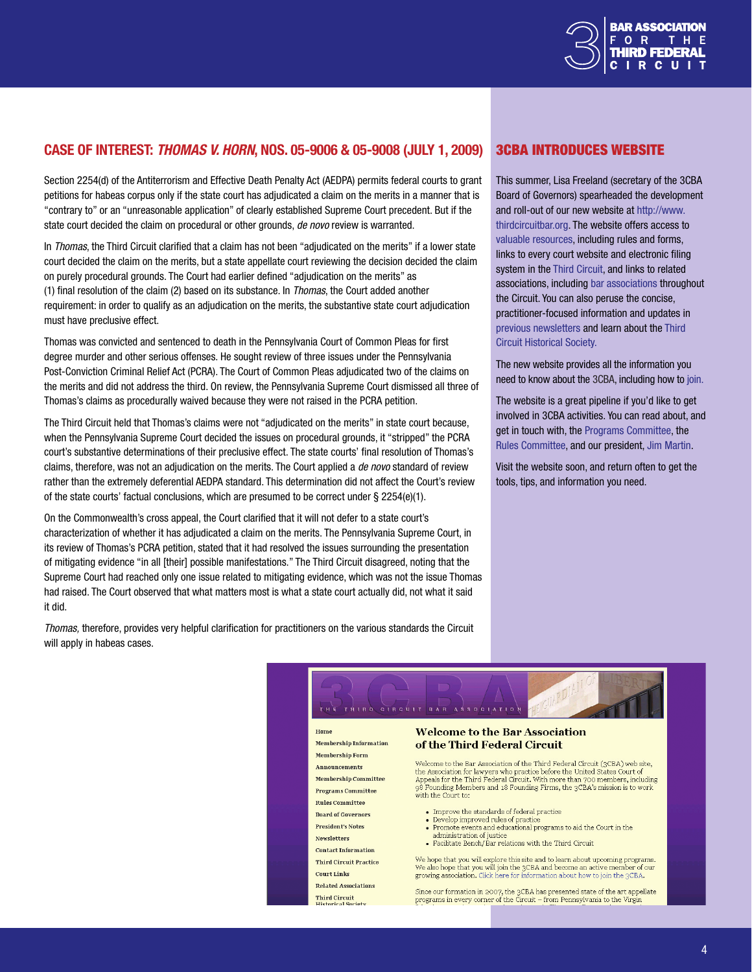

## <span id="page-3-0"></span>Case of Interest: *Thomas v. Horn*, Nos. 05-9006 & 05-9008 (July 1, 2009)

Section 2254(d) of the Antiterrorism and Effective Death Penalty Act (AEDPA) permits federal courts to grant petitions for habeas corpus only if the state court has adjudicated a claim on the merits in a manner that is "contrary to" or an "unreasonable application" of clearly established Supreme Court precedent. But if the state court decided the claim on procedural or other grounds, *de novo* review is warranted.

In *Thomas*, the Third Circuit clarified that a claim has not been "adjudicated on the merits" if a lower state court decided the claim on the merits, but a state appellate court reviewing the decision decided the claim on purely procedural grounds. The Court had earlier defined "adjudication on the merits" as (1) final resolution of the claim (2) based on its substance. In *Thomas*, the Court added another requirement: in order to qualify as an adjudication on the merits, the substantive state court adjudication must have preclusive effect.

Thomas was convicted and sentenced to death in the Pennsylvania Court of Common Pleas for first degree murder and other serious offenses. He sought review of three issues under the Pennsylvania Post-Conviction Criminal Relief Act (PCRA). The Court of Common Pleas adjudicated two of the claims on the merits and did not address the third. On review, the Pennsylvania Supreme Court dismissed all three of Thomas's claims as procedurally waived because they were not raised in the PCRA petition.

The Third Circuit held that Thomas's claims were not "adjudicated on the merits" in state court because, when the Pennsylvania Supreme Court decided the issues on procedural grounds, it "stripped" the PCRA court's substantive determinations of their preclusive effect. The state courts' final resolution of Thomas's claims, therefore, was not an adjudication on the merits. The Court applied a *de novo* standard of review rather than the extremely deferential AEDPA standard. This determination did not affect the Court's review of the state courts' factual conclusions, which are presumed to be correct under  $\S 2254(e)(1)$ .

On the Commonwealth's cross appeal, the Court clarified that it will not defer to a state court's characterization of whether it has adjudicated a claim on the merits. The Pennsylvania Supreme Court, in its review of Thomas's PCRA petition, stated that it had resolved the issues surrounding the presentation of mitigating evidence "in all [their] possible manifestations." The Third Circuit disagreed, noting that the Supreme Court had reached only one issue related to mitigating evidence, which was not the issue Thomas had raised. The Court observed that what matters most is what a state court actually did, not what it said it did.

*Thomas,* therefore, provides very helpful clarification for practitioners on the various standards the Circuit will apply in habeas cases.

**Rules Committee** 

**Board of Governors** 

**Contact Information** 

**Third Circuit Practice** 

**President's Notes** 

**Newsletters** 

**Court Links Related Associations** 

Third Circuit<br>Historical Society

## 3CBA introduces website

This summer, Lisa Freeland (secretary of the 3CBA Board of Governors) spearheaded the development and roll-out of our new website at [http://www.](http://www.thirdcircuitbar.org) [thirdcircuitbar.org.](http://www.thirdcircuitbar.org) The website offers access to [valuable resources](http://www.thirdcircuitbar.org/third_circuit_practice.html), including rules and forms, links to every court website and electronic filing system in the [Third Circuit,](http://www.thirdcircuitbar.org/court_links.html) and links to related associations, including [bar associations](http://www.thirdcircuitbar.org/related_associations.html) throughout the Circuit. You can also peruse the concise, practitioner-focused information and updates in previou[s newsletters](http://www.thirdcircuitbar.org/newsletters.html) and learn about the [Third](http://www.thirdcircuitbar.org/third_circuit_historical_society.html)  [Circuit Historical Society.](http://www.thirdcircuitbar.org/third_circuit_historical_society.html)

The new website provides all the information you need to know about the 3CBA, including how to [join.](http://www.thirdcircuitbar.org/membership_information.html)

The website is a great pipeline if you'd like to get involved in 3CBA activities. You can read about, and get in touch with, the [Programs Committee,](http://www.thirdcircuitbar.org/programs_committee.html) the [Rules Committee,](http://www.thirdcircuitbar.org/rules_committee.html) and our president[, Jim Marti](http://www.thirdcircuitbar.org/presidents_notes.html)n.

Visit the website soon, and return often to get the tools, tips, and information you need.



98 Founding Members and 18 Founding Firms, the 3CBA's mission is to work with the Court to:

- Improve the standards of federal practice
- Develop improved rules of practi-• Promote events and educational programs to aid the Court in the
- administration of justice • Facilitate Bench/Bar relations with the Third Circuit

We hope that you will explore this site and to learn about upcoming programs. We also hope that you will join the 3CBA and become an active member of our growing association. Click here for information about how to join the 3CBA.

Since our formation in 2007, the 3CBA has presented state of the art appellate programs in every corner of the Circuit - from Pennsylvania to the Virgin